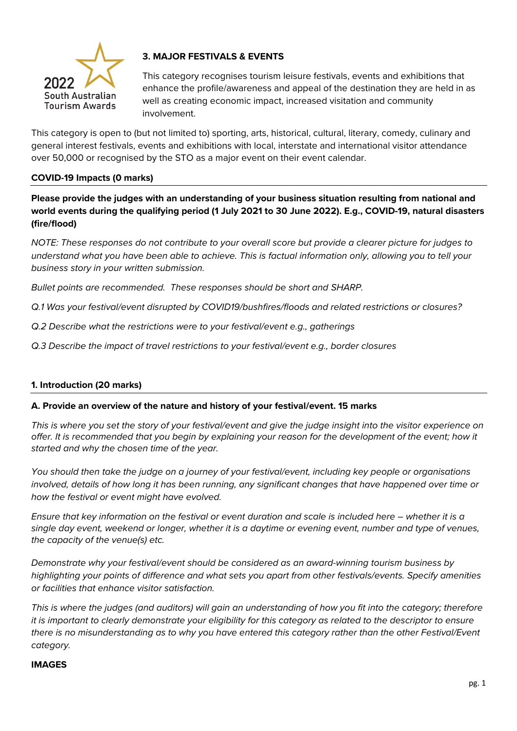

# **3. MAJOR FESTIVALS & EVENTS**

This category recognises tourism leisure festivals, events and exhibitions that enhance the profile/awareness and appeal of the destination they are held in as well as creating economic impact, increased visitation and community involvement.

This category is open to (but not limited to) sporting, arts, historical, cultural, literary, comedy, culinary and general interest festivals, events and exhibitions with local, interstate and international visitor attendance over 50,000 or recognised by the STO as a major event on their event calendar.

### **COVID-19 Impacts (0 marks)**

**Please provide the judges with an understanding of your business situation resulting from national and world events during the qualifying period (1 July 2021 to 30 June 2022). E.g., COVID-19, natural disasters (fire/flood)** 

*NOTE: These responses do not contribute to your overall score but provide a clearer picture for judges to understand what you have been able to achieve. This is factual information only, allowing you to tell your business story in your written submission.* 

*Bullet points are recommended. These responses should be short and SHARP.*

*Q.1 Was your festival/event disrupted by COVID19/bushfires/floods and related restrictions or closures?*

*Q.2 Describe what the restrictions were to your festival/event e.g., gatherings*

*Q.3 Describe the impact of travel restrictions to your festival/event e.g., border closures* 

### **1. Introduction (20 marks)**

#### **A. Provide an overview of the nature and history of your festival/event. 15 marks**

*This is where you set the story of your festival/event and give the judge insight into the visitor experience on offer. It is recommended that you begin by explaining your reason for the development of the event; how it started and why the chosen time of the year.*

*You should then take the judge on a journey of your festival/event, including key people or organisations involved, details of how long it has been running, any significant changes that have happened over time or how the festival or event might have evolved.*

*Ensure that key information on the festival or event duration and scale is included here – whether it is a single day event, weekend or longer, whether it is a daytime or evening event, number and type of venues, the capacity of the venue(s) etc.*

*Demonstrate why your festival/event should be considered as an award-winning tourism business by highlighting your points of difference and what sets you apart from other festivals/events. Specify amenities or facilities that enhance visitor satisfaction.* 

*This is where the judges (and auditors) will gain an understanding of how you fit into the category; therefore it is important to clearly demonstrate your eligibility for this category as related to the descriptor to ensure there is no misunderstanding as to why you have entered this category rather than the other Festival/Event category.* 

#### **IMAGES**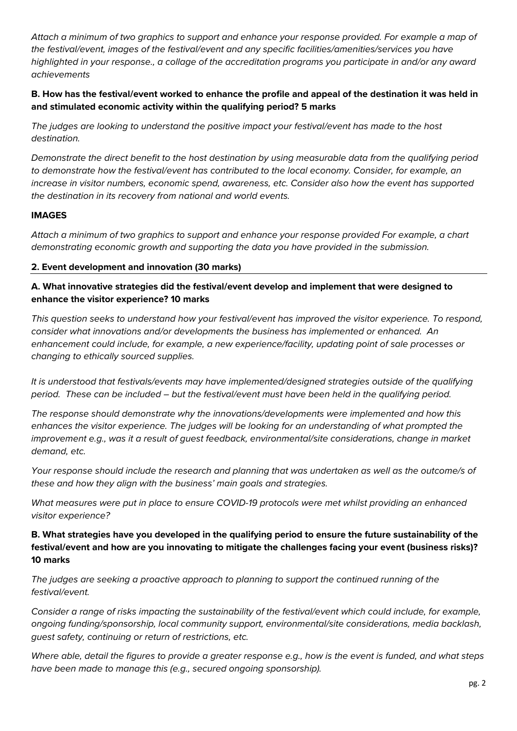*Attach a minimum of two graphics to support and enhance your response provided. For example a map of the festival/event, images of the festival/event and any specific facilities/amenities/services you have highlighted in your response., a collage of the accreditation programs you participate in and/or any award achievements*

# **B. How has the festival/event worked to enhance the profile and appeal of the destination it was held in and stimulated economic activity within the qualifying period? 5 marks**

*The judges are looking to understand the positive impact your festival/event has made to the host destination.* 

*Demonstrate the direct benefit to the host destination by using measurable data from the qualifying period to demonstrate how the festival/event has contributed to the local economy. Consider, for example, an increase in visitor numbers, economic spend, awareness, etc. Consider also how the event has supported the destination in its recovery from national and world events.*

## **IMAGES**

*Attach a minimum of two graphics to support and enhance your response provided For example, a chart demonstrating economic growth and supporting the data you have provided in the submission.* 

## **2. Event development and innovation (30 marks)**

# **A. What innovative strategies did the festival/event develop and implement that were designed to enhance the visitor experience? 10 marks**

*This question seeks to understand how your festival/event has improved the visitor experience. To respond, consider what innovations and/or developments the business has implemented or enhanced. An enhancement could include, for example, a new experience/facility, updating point of sale processes or changing to ethically sourced supplies.*

*It is understood that festivals/events may have implemented/designed strategies outside of the qualifying period. These can be included – but the festival/event must have been held in the qualifying period.*

*The response should demonstrate why the innovations/developments were implemented and how this enhances the visitor experience. The judges will be looking for an understanding of what prompted the improvement e.g., was it a result of guest feedback, environmental/site considerations, change in market demand, etc.* 

*Your response should include the research and planning that was undertaken as well as the outcome/s of these and how they align with the business' main goals and strategies.*

*What measures were put in place to ensure COVID-19 protocols were met whilst providing an enhanced visitor experience?*

# **B. What strategies have you developed in the qualifying period to ensure the future sustainability of the festival/event and how are you innovating to mitigate the challenges facing your event (business risks)? 10 marks**

*The judges are seeking a proactive approach to planning to support the continued running of the festival/event.* 

*Consider a range of risks impacting the sustainability of the festival/event which could include, for example, ongoing funding/sponsorship, local community support, environmental/site considerations, media backlash, guest safety, continuing or return of restrictions, etc.*

*Where able, detail the figures to provide a greater response e.g., how is the event is funded, and what steps have been made to manage this (e.g., secured ongoing sponsorship).*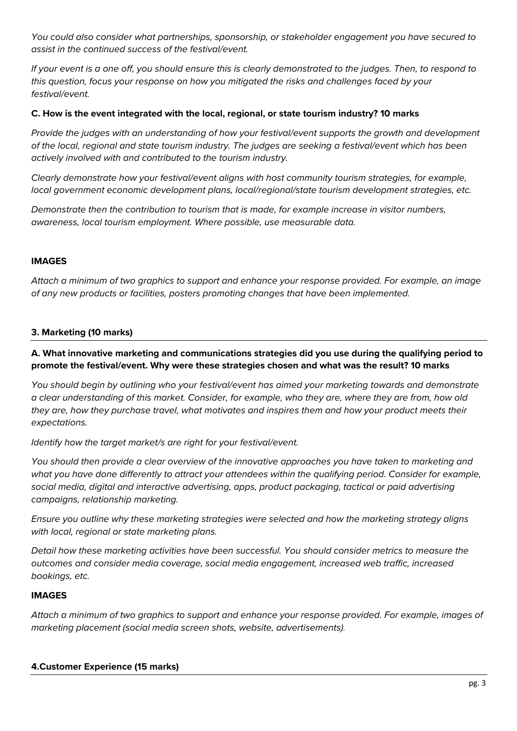*You could also consider what partnerships, sponsorship, or stakeholder engagement you have secured to assist in the continued success of the festival/event.*

*If your event is a one off, you should ensure this is clearly demonstrated to the judges. Then, to respond to this question, focus your response on how you mitigated the risks and challenges faced by your festival/event.* 

### **C. How is the event integrated with the local, regional, or state tourism industry? 10 marks**

*Provide the judges with an understanding of how your festival/event supports the growth and development of the local, regional and state tourism industry. The judges are seeking a festival/event which has been actively involved with and contributed to the tourism industry.* 

*Clearly demonstrate how your festival/event aligns with host community tourism strategies, for example, local government economic development plans, local/regional/state tourism development strategies, etc.* 

*Demonstrate then the contribution to tourism that is made, for example increase in visitor numbers, awareness, local tourism employment. Where possible, use measurable data.* 

### **IMAGES**

*Attach a minimum of two graphics to support and enhance your response provided. For example, an image of any new products or facilities, posters promoting changes that have been implemented.* 

## **3. Marketing (10 marks)**

**A. What innovative marketing and communications strategies did you use during the qualifying period to promote the festival/event. Why were these strategies chosen and what was the result? 10 marks**

*You should begin by outlining who your festival/event has aimed your marketing towards and demonstrate a clear understanding of this market. Consider, for example, who they are, where they are from, how old they are, how they purchase travel, what motivates and inspires them and how your product meets their expectations.* 

*Identify how the target market/s are right for your festival/event.*

*You should then provide a clear overview of the innovative approaches you have taken to marketing and what you have done differently to attract your attendees within the qualifying period. Consider for example, social media, digital and interactive advertising, apps, product packaging, tactical or paid advertising campaigns, relationship marketing.*

*Ensure you outline why these marketing strategies were selected and how the marketing strategy aligns with local, regional or state marketing plans.*

*Detail how these marketing activities have been successful. You should consider metrics to measure the outcomes and consider media coverage, social media engagement, increased web traffic, increased bookings, etc.* 

### **IMAGES**

*Attach a minimum of two graphics to support and enhance your response provided. For example, images of marketing placement (social media screen shots, website, advertisements).*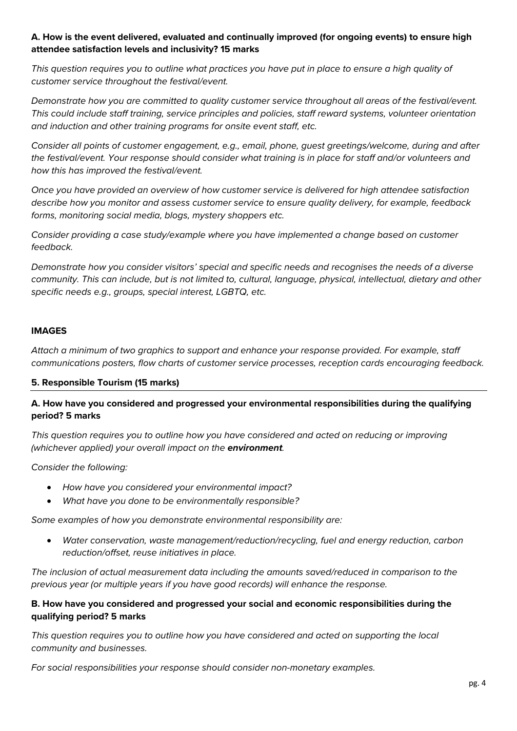# **A. How is the event delivered, evaluated and continually improved (for ongoing events) to ensure high attendee satisfaction levels and inclusivity? 15 marks**

*This question requires you to outline what practices you have put in place to ensure a high quality of customer service throughout the festival/event.* 

*Demonstrate how you are committed to quality customer service throughout all areas of the festival/event. This could include staff training, service principles and policies, staff reward systems, volunteer orientation and induction and other training programs for onsite event staff, etc.* 

*Consider all points of customer engagement, e.g., email, phone, guest greetings/welcome, during and after the festival/event. Your response should consider what training is in place for staff and/or volunteers and how this has improved the festival/event.* 

*Once you have provided an overview of how customer service is delivered for high attendee satisfaction describe how you monitor and assess customer service to ensure quality delivery, for example, feedback forms, monitoring social media, blogs, mystery shoppers etc.*

*Consider providing a case study/example where you have implemented a change based on customer feedback.* 

*Demonstrate how you consider visitors' special and specific needs and recognises the needs of a diverse community. This can include, but is not limited to, cultural, language, physical, intellectual, dietary and other specific needs e.g., groups, special interest, LGBTQ, etc.*

### **IMAGES**

*Attach a minimum of two graphics to support and enhance your response provided. For example, staff communications posters, flow charts of customer service processes, reception cards encouraging feedback.* 

### **5. Responsible Tourism (15 marks)**

## **A. How have you considered and progressed your environmental responsibilities during the qualifying period? 5 marks**

*This question requires you to outline how you have considered and acted on reducing or improving (whichever applied) your overall impact on the environment.* 

*Consider the following:*

- *How have you considered your environmental impact?*
- *What have you done to be environmentally responsible?*

*Some examples of how you demonstrate environmental responsibility are:*

• *Water conservation, waste management/reduction/recycling, fuel and energy reduction, carbon reduction/offset, reuse initiatives in place.*

*The inclusion of actual measurement data including the amounts saved/reduced in comparison to the previous year (or multiple years if you have good records) will enhance the response.*

## **B. How have you considered and progressed your social and economic responsibilities during the qualifying period? 5 marks**

*This question requires you to outline how you have considered and acted on supporting the local community and businesses.* 

*For social responsibilities your response should consider non-monetary examples.*